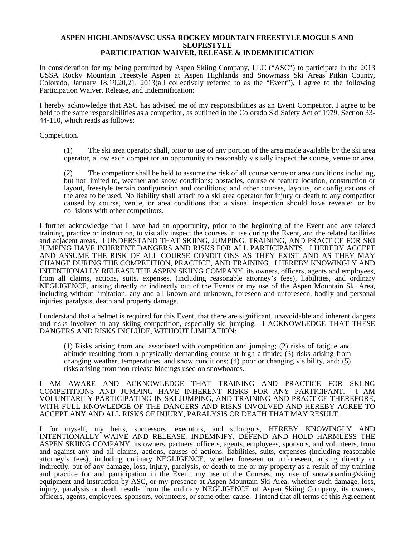#### **ASPEN HIGHLANDS/AVSC USSA ROCKEY MOUNTAIN FREESTYLE MOGULS AND SLOPESTYLE PARTICIPATION WAIVER, RELEASE & INDEMNIFICATION**

In consideration for my being permitted by Aspen Skiing Company, LLC ("ASC") to participate in the 2013 USSA Rocky Mountain Freestyle Aspen at Aspen Highlands and Snowmass Ski Areas Pitkin County, Colorado, January 18,19,20,21, 2013(all collectively referred to as the "Event"), I agree to the following Participation Waiver, Release, and Indemnification:

I hereby acknowledge that ASC has advised me of my responsibilities as an Event Competitor, I agree to be held to the same responsibilities as a competitor, as outlined in the Colorado Ski Safety Act of 1979, Section 33- 44-110, which reads as follows:

Competition.

(1) The ski area operator shall, prior to use of any portion of the area made available by the ski area operator, allow each competitor an opportunity to reasonably visually inspect the course, venue or area.

(2) The competitor shall be held to assume the risk of all course venue or area conditions including, but not limited to, weather and snow conditions; obstacles, course or feature location, construction or layout, freestyle terrain configuration and conditions; and other courses, layouts, or configurations of the area to be used. No liability shall attach to a ski area operator for injury or death to any competitor caused by course, venue, or area conditions that a visual inspection should have revealed or by collisions with other competitors.

I further acknowledge that I have had an opportunity, prior to the beginning of the Event and any related training, practice or instruction, to visually inspect the courses in use during the Event, and the related facilities and adjacent areas. I UNDERSTAND THAT SKIING, JUMPING, TRAINING, AND PRACTICE FOR SKI JUMPING HAVE INHERENT DANGERS AND RISKS FOR ALL PARTICIPANTS. I HEREBY ACCEPT AND ASSUME THE RISK OF ALL COURSE CONDITIONS AS THEY EXIST AND AS THEY MAY CHANGE DURING THE COMPETITION, PRACTICE, AND TRAINING. I HEREBY KNOWINGLY AND INTENTIONALLY RELEASE THE ASPEN SKIING COMPANY, its owners, officers, agents and employees, from all claims, actions, suits, expenses, (including reasonable attorney's fees), liabilities, and ordinary NEGLIGENCE, arising directly or indirectly out of the Events or my use of the Aspen Mountain Ski Area, including without limitation, any and all known and unknown, foreseen and unforeseen, bodily and personal injuries, paralysis, death and property damage.

I understand that a helmet is required for this Event, that there are significant, unavoidable and inherent dangers and risks involved in any skiing competition, especially ski jumping. I ACKNOWLEDGE THAT THESE DANGERS AND RISKS INCLUDE, WITHOUT LIMITATION:

(1) Risks arising from and associated with competition and jumping; (2) risks of fatigue and altitude resulting from a physically demanding course at high altitude; (3) risks arising from changing weather, temperatures, and snow conditions; (4) poor or changing visibility, and; (5) risks arising from non-release bindings used on snowboards.

I AM AWARE AND ACKNOWLEDGE THAT TRAINING AND PRACTICE FOR SKIING COMPETITIONS AND JUMPING HAVE INHERENT RISKS FOR ANY PARTICIPANT. VOLUNTARILY PARTICIPATING IN SKI JUMPING, AND TRAINING AND PRACTICE THEREFORE, WITH FULL KNOWLEDGE OF THE DANGERS AND RISKS INVOLVED AND HEREBY AGREE TO ACCEPT ANY AND ALL RISKS OF INJURY, PARALYSIS OR DEATH THAT MAY RESULT.

I for myself, my heirs, successors, executors, and subrogors, HEREBY KNOWINGLY AND INTENTIONALLY WAIVE AND RELEASE, INDEMNIFY, DEFEND AND HOLD HARMLESS THE ASPEN SKIING COMPANY, its owners, partners, officers, agents, employees, sponsors, and volunteers, from and against any and all claims, actions, causes of actions, liabilities, suits, expenses (including reasonable attorney's fees), including ordinary NEGLIGENCE, whether foreseen or unforeseen, arising directly or indirectly, out of any damage, loss, injury, paralysis, or death to me or my property as a result of my training and practice for and participation in the Event, my use of the Courses, my use of snowboarding/skiing equipment and instruction by ASC, or my presence at Aspen Mountain Ski Area, whether such damage, loss, injury, paralysis or death results from the ordinary NEGLIGENCE of Aspen Skiing Company, its owners, officers, agents, employees, sponsors, volunteers, or some other cause. I intend that all terms of this Agreement